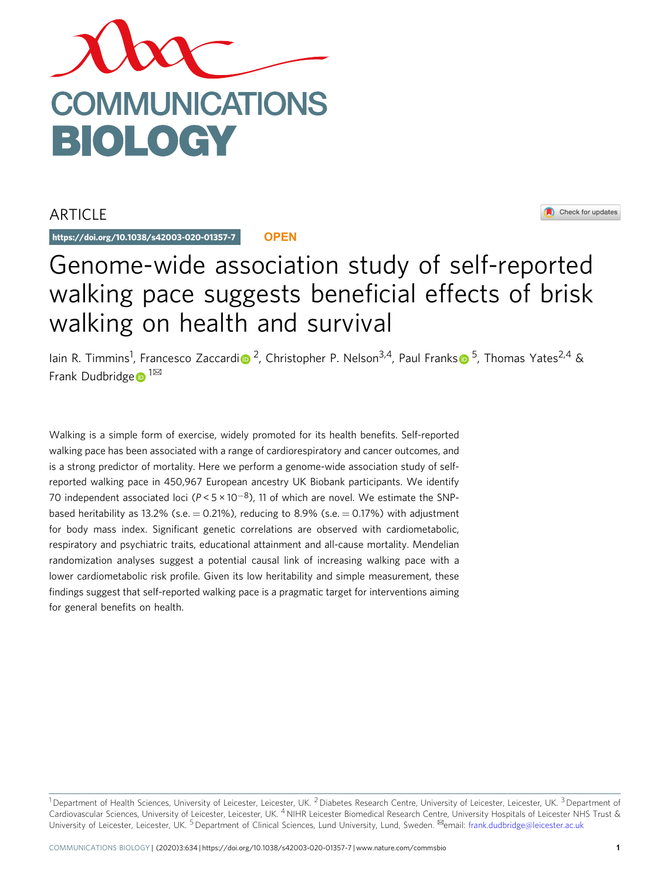

ARTICLE

https://doi.org/10.1038/s42003-020-01357-7 **OPEN**

Check for updates

# Genome-wide association study of self-reported walking pace suggests beneficial effects of brisk walking on health and survival

la[i](http://orcid.org/0000-0002-2636-6487)n R. Timmin[s](http://orcid.org/0000-0002-0520-7604)<sup>1</sup>, Francesco Zaccardi@ <sup>2</sup>, Christopher P. Nelson<sup>3,4</sup>, Paul Franks <mark>@ <sup>[5](http://orcid.org/0000-0002-0520-7604)</sup>, Thomas Yates<sup>2,4</sup> &</mark> Frank Dudbridg[e](http://orcid.org/0000-0002-8817-8908)  $1^{\boxtimes}$ 

Walking is a simple form of exercise, widely promoted for its health benefits. Self-reported walking pace has been associated with a range of cardiorespiratory and cancer outcomes, and is a strong predictor of mortality. Here we perform a genome-wide association study of selfreported walking pace in 450,967 European ancestry UK Biobank participants. We identify 70 independent associated loci ( $P < 5 \times 10^{-8}$ ), 11 of which are novel. We estimate the SNPbased heritability as 13.2% (s.e.  $= 0.21\%$ ), reducing to 8.9% (s.e.  $= 0.17\%$ ) with adjustment for body mass index. Significant genetic correlations are observed with cardiometabolic, respiratory and psychiatric traits, educational attainment and all-cause mortality. Mendelian randomization analyses suggest a potential causal link of increasing walking pace with a lower cardiometabolic risk profile. Given its low heritability and simple measurement, these findings suggest that self-reported walking pace is a pragmatic target for interventions aiming for general benefits on health.

 $^1$ Department of Health Sciences, University of Leicester, Leicester, UK. <sup>2</sup> Diabetes Research Centre, University of Leicester, Leicester, UK. <sup>3</sup> Department of Cardiovascular Sciences, University of Leicester, Leicester, UK. <sup>4</sup>NIHR Leicester Biomedical Research Centre, University Hospitals of Leicester NHS Trust & University of Leicester, Leicester, UK. <sup>5</sup> Department of Clinical Sciences, Lund University, Lund, Sweden. <sup>⊠</sup>email: [frank.dudbridge@leicester.ac.uk](mailto:frank.dudbridge@leicester.ac.uk)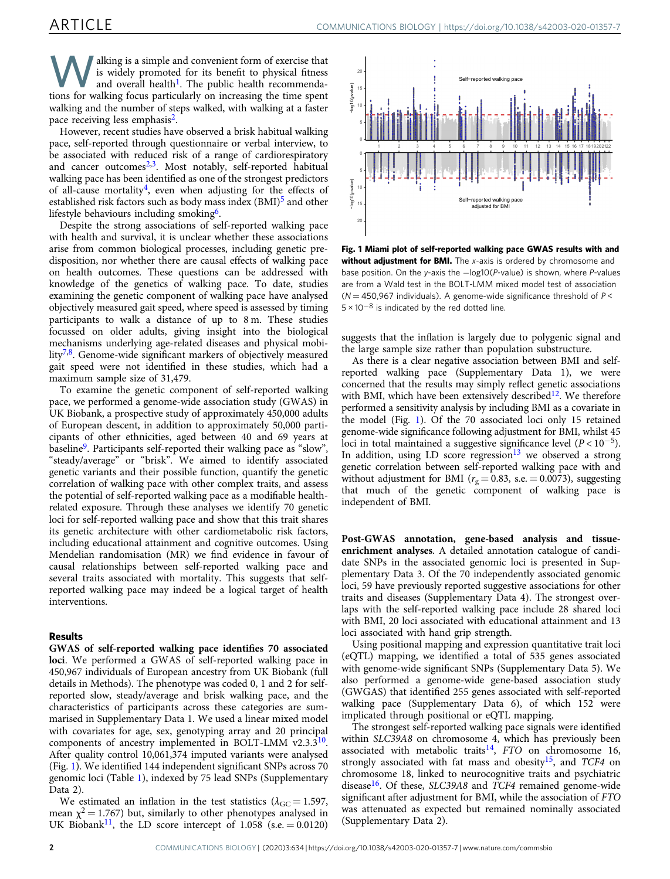alking is a simple and convenient form of exercise that is widely promoted for its benefit to physical fitness and overall health<sup>1</sup>. The public health recommendations for walking focus particularly on increasing the time spent walking and the number of steps walked, with walking at a faster pace receiving less emphasis[2.](#page-7-0)

However, recent studies have observed a brisk habitual walking pace, self-reported through questionnaire or verbal interview, to be associated with reduced risk of a range of cardiorespiratory and cancer outcomes $2,3$ . Most notably, self-reported habitual walking pace has been identified as one of the strongest predictors of all-cause mortality[4](#page-7-0), even when adjusting for the effects of established risk factors such as body mass index  $(BMI)^5$  $(BMI)^5$  and other lifestyle behaviours including smoking[6](#page-7-0).

Despite the strong associations of self-reported walking pace with health and survival, it is unclear whether these associations arise from common biological processes, including genetic predisposition, nor whether there are causal effects of walking pace on health outcomes. These questions can be addressed with knowledge of the genetics of walking pace. To date, studies examining the genetic component of walking pace have analysed objectively measured gait speed, where speed is assessed by timing participants to walk a distance of up to 8 m. These studies focussed on older adults, giving insight into the biological mechanisms underlying age-related diseases and physical mobi-lity<sup>[7](#page-7-0),8</sup>. Genome-wide significant markers of objectively measured gait speed were not identified in these studies, which had a maximum sample size of 31,479.

To examine the genetic component of self-reported walking pace, we performed a genome-wide association study (GWAS) in UK Biobank, a prospective study of approximately 450,000 adults of European descent, in addition to approximately 50,000 participants of other ethnicities, aged between 40 and 69 years at baseline<sup>[9](#page-7-0)</sup>. Participants self-reported their walking pace as "slow", "steady/average" or "brisk". We aimed to identify associated genetic variants and their possible function, quantify the genetic correlation of walking pace with other complex traits, and assess the potential of self-reported walking pace as a modifiable healthrelated exposure. Through these analyses we identify 70 genetic loci for self-reported walking pace and show that this trait shares its genetic architecture with other cardiometabolic risk factors, including educational attainment and cognitive outcomes. Using Mendelian randomisation (MR) we find evidence in favour of causal relationships between self-reported walking pace and several traits associated with mortality. This suggests that selfreported walking pace may indeed be a logical target of health interventions.

# Results

GWAS of self-reported walking pace identifies 70 associated loci. We performed a GWAS of self-reported walking pace in 450,967 individuals of European ancestry from UK Biobank (full details in Methods). The phenotype was coded 0, 1 and 2 for selfreported slow, steady/average and brisk walking pace, and the characteristics of participants across these categories are summarised in Supplementary Data 1. We used a linear mixed model with covariates for age, sex, genotyping array and 20 principal components of ancestry implemented in BOLT-LMM v2.3.3[10.](#page-7-0) After quality control 10,061,374 imputed variants were analysed (Fig. 1). We identified 144 independent significant SNPs across 70 genomic loci (Table [1](#page-2-0)), indexed by 75 lead SNPs (Supplementary Data 2).

We estimated an inflation in the test statistics ( $\lambda_{\rm GC} = 1.597$ , mean  $\chi^2$  = 1.767) but, similarly to other phenotypes analysed in UK Biobank<sup>11</sup>, the LD score intercept of 1.058 (s.e.  $= 0.0120$ )



Fig. 1 Miami plot of self-reported walking pace GWAS results with and without adjustment for BMI. The x-axis is ordered by chromosome and base position. On the y-axis the −log10(P-value) is shown, where P-values are from a Wald test in the BOLT-LMM mixed model test of association  $(N = 450,967$  individuals). A genome-wide significance threshold of P < 5 × 10−<sup>8</sup> is indicated by the red dotted line.

suggests that the inflation is largely due to polygenic signal and the large sample size rather than population substructure.

As there is a clear negative association between BMI and selfreported walking pace (Supplementary Data 1), we were concerned that the results may simply reflect genetic associations with BMI, which have been extensively described<sup>12</sup>. We therefore performed a sensitivity analysis by including BMI as a covariate in the model (Fig. 1). Of the 70 associated loci only 15 retained genome-wide significance following adjustment for BMI, whilst 45 loci in total maintained a suggestive significance level  $(P < 10^{-5})$ . In addition, using LD score regression<sup>13</sup> we observed a strong genetic correlation between self-reported walking pace with and without adjustment for BMI ( $r_g = 0.83$ , s.e. = 0.0073), suggesting that much of the genetic component of walking pace is independent of BMI.

Post-GWAS annotation, gene-based analysis and tissueenrichment analyses. A detailed annotation catalogue of candidate SNPs in the associated genomic loci is presented in Supplementary Data 3. Of the 70 independently associated genomic loci, 59 have previously reported suggestive associations for other traits and diseases (Supplementary Data 4). The strongest overlaps with the self-reported walking pace include 28 shared loci with BMI, 20 loci associated with educational attainment and 13 loci associated with hand grip strength.

Using positional mapping and expression quantitative trait loci (eQTL) mapping, we identified a total of 535 genes associated with genome-wide significant SNPs (Supplementary Data 5). We also performed a genome-wide gene-based association study (GWGAS) that identified 255 genes associated with self-reported walking pace (Supplementary Data 6), of which 152 were implicated through positional or eQTL mapping.

The strongest self-reported walking pace signals were identified within SLC39A8 on chromosome 4, which has previously been associated with metabolic traits<sup>[14](#page-7-0)</sup>, FTO on chromosome 16, strongly associated with fat mass and obesity<sup>15</sup>, and  $TCF4$  on chromosome 18, linked to neurocognitive traits and psychiatric disease<sup>[16](#page-7-0)</sup>. Of these, SLC39A8 and TCF4 remained genome-wide significant after adjustment for BMI, while the association of FTO was attenuated as expected but remained nominally associated (Supplementary Data 2).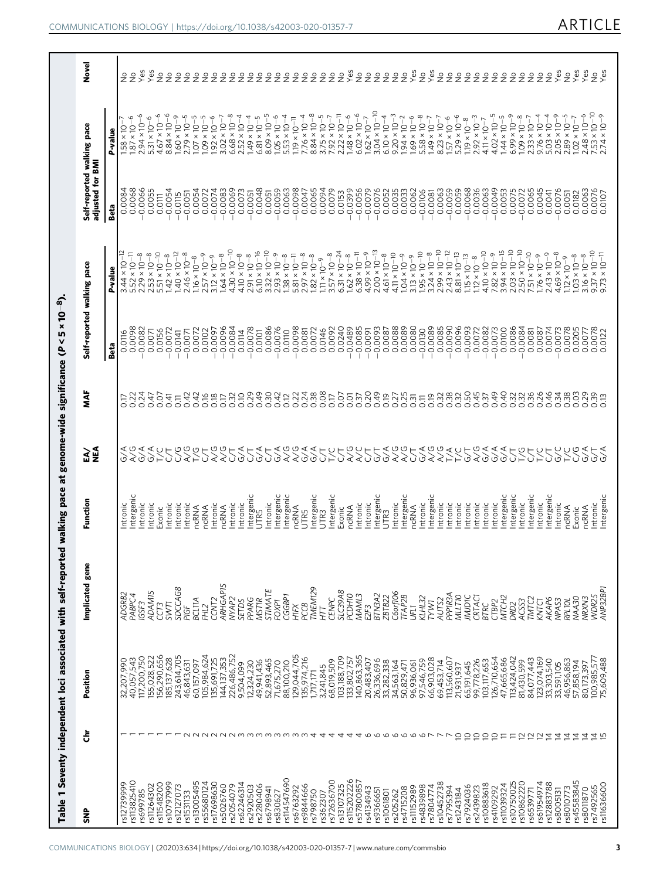<span id="page-2-0"></span>

|                           |                |                            | Table 1 Seventy independent loci associated with self-reported walking pace at genome-wide significance (P < 5 × 10 <sup>-8</sup> ). |                          |                                |                                                                      |                            |                                                                              |                                                |                                                                          |                                 |
|---------------------------|----------------|----------------------------|--------------------------------------------------------------------------------------------------------------------------------------|--------------------------|--------------------------------|----------------------------------------------------------------------|----------------------------|------------------------------------------------------------------------------|------------------------------------------------|--------------------------------------------------------------------------|---------------------------------|
| 훐                         | ā              | Position                   | Implicated gene                                                                                                                      | Function                 | <b>AS</b>                      | Š                                                                    | Self-reported walking pace |                                                                              | Self-reported walking pace<br>adjusted for BMI |                                                                          | Novel                           |
|                           |                |                            |                                                                                                                                      |                          |                                |                                                                      | Beta                       | P-value                                                                      | Beta                                           | P-value                                                                  |                                 |
| rs113825410<br>rs12739999 |                | 32,207,990<br>40,057,543   | ADGRB2<br>PABPC4                                                                                                                     | ntronic                  |                                | 0.22<br>$\frac{17}{2}$                                               | 0.0098<br>0.0116           | 두<br>$3.44 \times 10$<br>$5.52 \times 10$                                    | 0.0084<br>0.0068                               | $1.87 \times 10^{-6}$<br>$1.58 \times 10$                                | $\stackrel{\circ}{\simeq}$<br>å |
| rs699785                  |                | 117,200,750                | IGSF3                                                                                                                                | ntergenic<br>ntronic     | ⊙⁄<br>G∕                       | 0.24                                                                 | 0.0082                     | $2.29 \times 10^{-8}$                                                        | 0.0066                                         | $2.94 \times 10^{-6}$                                                    | Yes                             |
| rs11264302                |                | 55,028,522                 | <b>ADAM15</b>                                                                                                                        | ntronic                  | 6/4                            | 0.47                                                                 | 0.0071                     | $2.53 \times 10^{-8}$                                                        | 0.0055                                         | $5.31 \times 10^{-6}$                                                    | Yes                             |
| rs10797999<br>rs11548200  |                | 56,290,656<br>85,137,628   | SWTI<br>CCT3                                                                                                                         | ntronic<br>Exonic        |                                | 0.07<br>0.41                                                         | 0.0072<br>0.0156           | $5.51 \times 10^{-10}$<br>$\times10^{-8}$<br>142                             | $-0.0054$<br>0.0111                            | $8.84 \times 10^{-6}$<br>$4.67 \times 10^{-6}$                           | ş<br>ş                          |
| rs12127073                |                | 243,614,705                | SDCCAG8                                                                                                                              | ntronic                  |                                | 0.11                                                                 | $-0.0141$                  | $1.40 \times 10^{-12}$                                                       | $-0.0115$                                      | $1.60 \times 10^{-9}$                                                    | $\frac{1}{2}$                   |
| rs1531133                 |                | 46,843,631                 | PIGF                                                                                                                                 | ntronic                  | A/G                            | 0.42                                                                 | $-0.007$                   | $2.46 \times 10^{-8}$                                                        | $-0.0051$                                      | $2.79 \times 10^{-5}$                                                    | ş                               |
| rs13005495                |                | 60,157,097                 | <b>BCL11A</b>                                                                                                                        | <b>ncRNA</b>             |                                | 0.42                                                                 | 0.0072                     | $16 \times 10^{-8}$                                                          | 0.0054                                         | $1.07 \times 10^{-5}$                                                    | $\frac{1}{2}$                   |
| rs55680124<br>rs17698630  | NNNNMMMMMMMM   | 105,984,624<br>35,691,725  | CCNT <sub>2</sub><br>FHL <sub>2</sub>                                                                                                | Intronic<br>ncRNA        |                                | 0.16<br>0.18                                                         | 0.0097<br>0.0102           | $2.57 \times 10^{-9}$<br>$3.12 \times 10^{-9}$                               | $-0.0074$<br>0.0072                            | $1.09 \times 10^{-5}$<br>$1.92 \times 10^{-6}$                           | $\frac{1}{2}$<br>是              |
| rs5026760                 |                | 144,137,353                | <b>ARHGAP15</b>                                                                                                                      | ncRNA                    |                                | 0.17                                                                 | 0.0096                     | $1.64 \times 10^{-8}$                                                        | $-0.0083$                                      | $3.02 \times 10^{-7}$                                                    | $\frac{1}{2}$                   |
| rs2054079                 |                | 226,486,752                | NYAP <sub>2</sub>                                                                                                                    | ntronic                  |                                | 0.32                                                                 | $-0.0084$                  | $4.30 \times 10^{-10}$                                                       | $-0.0069$                                      | $6.68 \times 10^{-8}$                                                    | ş                               |
| rs62246314                |                | 9,504,099                  | SETD5                                                                                                                                | ntronic                  | $\lesssim$                     | 0.10                                                                 | 0.0114                     | $4.10 \times 10^{-8}$<br>$2.91 \times 10^{-8}$                               | 0.0073                                         | $2.52 \times 10^{-4}$                                                    | 是                               |
| rs2280406<br>rs2920503    |                | 49,941,436<br>12,324,230   | PPARG<br><b>MSTIR</b>                                                                                                                | ntergenic<br><b>UTR5</b> | $\lesssim$                     | 0.29                                                                 | 0.0078<br>0.0101           | $6.10 \times 10^{-16}$                                                       | $-0.0051$                                      | $1.49 \times 10^{-4}$<br>$6.81 \times 10^{-5}$                           | 是<br>ş                          |
| rs6798941                 |                | 52,893,465                 | STIMATE                                                                                                                              | ntronic                  |                                | 0.49<br>0.30                                                         | 0.0086                     | $3.32 \times 10^{-10}$                                                       | 0.0048<br>0.0051                               | $8.09 \times 10^{-5}$                                                    | å                               |
| rs830627                  |                | 71,675,270                 | <b>FOXP1</b>                                                                                                                         | ntergenic                | $\lesssim$                     | 0.42                                                                 | 0.0076                     | $2.93 \times 10^{-9}$                                                        | $-0.0059$                                      | $1.05 \times 10^{-6}$                                                    | ş                               |
| rs114547690               |                | 88,100,210                 | CGGBP1                                                                                                                               | Intergenic<br>ncRNA      |                                |                                                                      | 0.0110                     | $38 \times 10^{-8}$                                                          | 0.0063                                         | $5.53 \times 10^{-4}$                                                    | ş                               |
| rs9844666<br>rs6763292    |                | 129,044,705<br>135,974,216 | PCCB<br>HIFX                                                                                                                         | <b>UTR5</b>              | $\frac{1}{2}$<br>$\frac{1}{2}$ | $\begin{array}{c} 22480 \\ 23480 \\ 0 \\ 0 \\ 0 \\ 0 \\ \end{array}$ | 0.0098<br>0.0081           | $5.81 \times 10^{-11}$                                                       | 0.0098<br>0.0047                               | $7.76 \times 10^{-4}$<br>$1.19 \times 10^{-11}$                          | $\frac{1}{2}$<br>€              |
| rs798750                  |                | 1,717,171                  | TMEM129                                                                                                                              | ntergenic                | $\lesssim$                     |                                                                      | 0.0072                     | $2.97 \times 10^{-8}$<br>$1.82 \times 10^{-8}$                               | 0.0065                                         |                                                                          | å                               |
| rs362307                  | 4              | 3,241,845                  | ĮН                                                                                                                                   | UTR <sub>3</sub>         | 5                              |                                                                      | 0.0146                     | $1.11 \times 10^{-9}$                                                        | 0.0094                                         | $8.84 \times 10^{-8}$<br>3.75 $\times$ 10 -5                             | $\frac{1}{2}$                   |
| rs72636700                | 4              | 68,019,509                 | CENPC                                                                                                                                | ntergenic                |                                | 0.17                                                                 | 0.0092                     | $3.57 \times 10^{-8}$                                                        | 0.0079                                         | $7.92 \times 10^{-7}$                                                    | $\frac{1}{2}$                   |
| rs115202226<br>rs13107325 |                | 03,188,709                 | <b>SLC39A8</b><br>PCDH10                                                                                                             | ncRNA<br>Exonic          |                                | 0.07                                                                 | 0.0240<br>0.0489           | $6.31 \times 10^{-24}$                                                       | 0.0399<br>0.0153                               | $2.22 \times 10^{-11}$<br>$1.48 \times 10^{-6}$                          | Yes<br>$\frac{1}{2}$            |
| rs57800857                |                | 40,863,365<br>133,802,757  | MAML3                                                                                                                                | ntronic                  |                                |                                                                      | $-0.0085$                  |                                                                              | $-0.0056$                                      | ڢ<br>$6.02 \times 10^{-7}$                                               | $\frac{1}{2}$                   |
| rs4134943                 | ৩              | 20,483,407                 | E2F3                                                                                                                                 | ntronic                  |                                | 0.37<br>0.37<br>0.20                                                 | $-0.0091$                  | $1.62 \times 10^{-8}$<br>6.38 × 10 <sup>-11</sup><br>4.99 × 10 <sup>-9</sup> | $-0.0079$                                      | $1.62 \times 10^{-7}$                                                    | $\frac{1}{2}$                   |
| rs9366651                 |                | 26,336,696                 | BTN3A2                                                                                                                               | Intergenic<br>UTR3       |                                | 0.49                                                                 | 0.0093                     | $100 \times 10^{-13}$                                                        | $-0.0076$                                      | $3.04 \times 10^{-10}$                                                   | $\frac{1}{2}$                   |
| rs1061801<br>rs205262     |                | 33,282,338<br>34,563,164   | C6orf106<br>ZBTB22                                                                                                                   |                          | $\lesssim$                     |                                                                      | 0.0088<br>0.0087           | $4.11 \times 10^{-10}$<br>$4.61 \times 10^{-8}$                              | 0.0052                                         | $6.10 \times 10^{-4}$<br>9.20 $\times 10^{-3}$                           | $\frac{1}{2}$                   |
| rs4715208                 |                | 50,829,471                 | <b>FAP2B</b>                                                                                                                         | ntergenic<br>ntronic     | λÖ                             | <b>22555</b><br>22555                                                | 0.0089                     | $-01 \times 10^{-9}$                                                         | 0.0035                                         | $1.94 \times 10^{-2}$                                                    | $\frac{1}{2}$<br>$\frac{1}{2}$  |
| s11152989                 | ৩              | 96,936,061                 | UFL1                                                                                                                                 | ncRNA                    |                                |                                                                      | 0.0080                     | $3.13 \times 10^{-9}$                                                        | 0.0062                                         | $1.69 \times 10^{-6}$                                                    | Yes                             |
| rs4839898                 | ৩              | 97,546,759                 | KLHL32                                                                                                                               | ntronic                  |                                | 0.11                                                                 | 0.0130                     | $-01 \times 56$ .                                                            | 0.0106                                         | $5.58 \times 10^{-8}$                                                    | $\frac{1}{2}$                   |
| rs10452738<br>rs7804774   |                | 66,903,028                 | <b>LAAL</b>                                                                                                                          | ntergenic<br>ntronic     | A/G<br>A/G                     |                                                                      | 0.0089<br>0.0085           | $2.99 \times 10^{-10}$<br>$3.24 \times 10^{-8}$                              | $-0.0081$                                      | $1.49 \times 10^{-7}$                                                    | Yes<br>$\frac{1}{2}$            |
| rs7795394                 |                | 69,453,714<br>113,560,607  | AUTS2<br>PPP1R3A                                                                                                                     | ntronic                  | $\lesssim$                     |                                                                      | 0.0090                     | $2.43 \times 10^{-12}$                                                       | 0.0063                                         | $8.23 \times 10^{-7}$<br>1.57 $\times 10^{-6}$                           | $\frac{1}{2}$                   |
| rs1243184                 | S              | 21,931,937                 | <b>MLLT10</b>                                                                                                                        | ntronic                  |                                |                                                                      | 0.0096                     | $8.81 \times 10^{-13}$                                                       | 0.0059                                         | $5.29 \times 10^{-6}$                                                    | $\frac{1}{2}$                   |
| rs7924036                 | $\overline{C}$ | 65,191,645                 | JNJD <sub>IC</sub>                                                                                                                   | ntronic                  | 57                             |                                                                      | 0.0093                     | $1.15 \times 10^{-13}$                                                       | $-0.0068$                                      | $19 \times 10^{-8}$                                                      | $\frac{1}{2}$                   |
| rs10883618<br>rs2439823   | ₽<br>ဥ         | 99,778,226<br>103,117,653  | CRTAC<br><b>BTRC</b>                                                                                                                 | ntronic<br>Intronic      | 46<br>$\lesssim$               | 0000<br>45740<br>0000                                                | 0.0072<br>0.0082           | $4.10 \times 10^{-10}$<br>$1.12 \times 10^{-8}$                              | 0.0036<br>$-0.0063$                            | $4.11 \times 10^{-7}$<br>$2.92 \times 10^{-7}$                           | $\frac{1}{2}$<br>$\frac{1}{2}$  |
| rs4109292                 | ₽              | 126,710,654                | CTBP <sub>2</sub>                                                                                                                    | ntronic                  | ∕১<br>ত                        |                                                                      | 0.0073                     | $7.82 \times 10^{-9}$<br>3.94 $\times 10^{-15}$                              | 6700.0                                         | $4.02 \times 10^{-5}$                                                    | $\frac{1}{2}$                   |
| rs11039324                |                | 47,665,686                 | MTCH2                                                                                                                                | ntergenic                | $\frac{1}{2}$                  |                                                                      | 0.0100                     |                                                                              | 0.0053                                         | $1.44 \times 10^{-5}$                                                    | $\frac{1}{2}$                   |
| rs10750025<br>rs10862220  | $\mathbf{z}$   | 113,424,042<br>81,430,599  | ACSS3<br>DRD <sub>2</sub>                                                                                                            | ntergenic                | T/G                            |                                                                      | 0.0086<br>0.0084           | $2.03 \times 10^{-10}$<br>$2.50 \times 10^{-10}$                             | 0.0075<br>0.0072                               | $6.99 \times 10^{-9}$<br>$1.09 \times 10^{-8}$                           | $\frac{1}{2}$<br>ş              |
| rs653977                  | ∾              | 84,077,443                 | TMTC2                                                                                                                                | ntergenic<br>ntronic     |                                | 000000<br>50000000000                                                | 0.0081                     | $51 \times 10^{-10}$                                                         | 0.0065                                         | $2.33 \times 10^{-7}$<br>9.76 $\times 10^{-4}$                           | $\frac{1}{2}$                   |
| rs61954974                | ∾              | 123,074,169                | KNTC <sub>1</sub>                                                                                                                    | ntronic                  | 25                             |                                                                      | 0.0087                     | $-01 \times 92$                                                              | 0.0045                                         |                                                                          | $\frac{1}{2}$                   |
| rs12883788<br>rs8005131   | ₫<br>ᅺ         | 33,303,540<br>33,591,105   | AKAP6<br>NPAS3                                                                                                                       | ntergenic<br>ntronic     | $\sum_{i=1}^{n}$               |                                                                      | 0.0074<br>0.0073           | $4.69 \times 10^{-8}$<br>$2.43 \times 10^{-9}$                               | 0.0076<br>0.0041                               | $2.05 \times 10^{-9}$<br>$5.03 \times 10^{-4}$                           | Yes<br>ş                        |
| rs8010773                 | ⋣              | 46,956,863                 | <b>RPL10L</b>                                                                                                                        | ncRNA                    | <b>D/L</b>                     | 0.38                                                                 | 0.0078                     | $12 \times 10^{-9}$                                                          | 0.0051                                         | $2.89 \times 10^{-5}$                                                    | ş                               |
| rs45583845                | ₫              | 57,858,194                 | NAA30                                                                                                                                | Exonic                   |                                |                                                                      | 0.0205                     | $-01 \times 50$ .<br>$3.16 \times 10^{-8}$                                   | 0.0063<br>0.0182                               | $1.02 \times 10^{-7}$                                                    | Yes                             |
| rs7492565<br>rs8011870    | ₫              | 100,985,577<br>80,173,397  | WDR25<br>VRXN3                                                                                                                       | ntronic<br>ncRNA         | $\frac{1}{2}$<br>5             | 339<br>029                                                           | 0.0078<br>0.0077           | $9.37 \times 10^{-10}$<br>9.73 × 10 <sup>-11</sup>                           | 0.0076                                         | $7.53 \times 10^{-10}$<br>2.74 $\times 10^{-9}$<br>$2.48 \times 10^{-6}$ | Yes<br>ş                        |
| rs11636600                |                | 75,609,488                 | ANP32BP1                                                                                                                             | ntergenic                |                                | 0.13                                                                 | 0.0122                     |                                                                              | 0.0107                                         |                                                                          | Yes                             |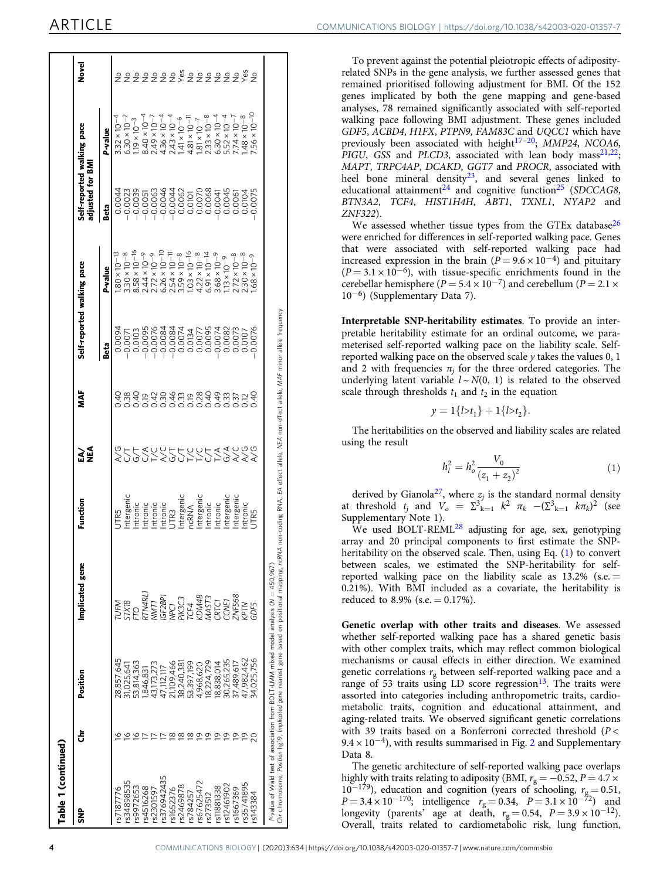| Table 1 (continued) |                    |                                                                                          |                                                                                                                                                                                    |                                                                 |                                    |      |                            |                                                                                                                                                                                                                                                                                                                                                                       |                                               |                       |                 |
|---------------------|--------------------|------------------------------------------------------------------------------------------|------------------------------------------------------------------------------------------------------------------------------------------------------------------------------------|-----------------------------------------------------------------|------------------------------------|------|----------------------------|-----------------------------------------------------------------------------------------------------------------------------------------------------------------------------------------------------------------------------------------------------------------------------------------------------------------------------------------------------------------------|-----------------------------------------------|-----------------------|-----------------|
| ទិ                  | ້ວັ                | Position                                                                                 | Implicated gene                                                                                                                                                                    | Function                                                        | gă<br>S                            | ă    | Self-reported walking pace |                                                                                                                                                                                                                                                                                                                                                                       | Self-reported walking pace<br>adjusted for BM |                       | e<br>୧<br>୧     |
|                     |                    |                                                                                          |                                                                                                                                                                                    |                                                                 |                                    |      | Beta                       | P-value                                                                                                                                                                                                                                                                                                                                                               | Beta                                          | P-value               |                 |
| rs7187776           |                    | 28,857,645                                                                               | UFM                                                                                                                                                                                | <b>JTR5</b>                                                     |                                    | 0.40 | 0.0094                     | $80 \times 10^{-13}$                                                                                                                                                                                                                                                                                                                                                  | 0.0044                                        | $3.32 \times 10^{-4}$ |                 |
| rs34898535          |                    | 1,025,641                                                                                | <b>SIXL</b>                                                                                                                                                                        | ntergenic                                                       |                                    |      |                            | $3.30 \times 10^{-8}$                                                                                                                                                                                                                                                                                                                                                 |                                               | $5.30 \times 10^{-2}$ |                 |
| rs9972653           |                    | 3,814,363                                                                                |                                                                                                                                                                                    | ntronic                                                         | しててはいいけんしいてんかいしん<br>ことにはいいけんしいけんかい |      |                            | $8.58 \times 10^{-16}$                                                                                                                                                                                                                                                                                                                                                |                                               | $.19 \times 10^{-3}$  | 222222222222222 |
| rs4516268           |                    | .846,831                                                                                 | TN4RL                                                                                                                                                                              |                                                                 |                                    |      |                            |                                                                                                                                                                                                                                                                                                                                                                       |                                               |                       |                 |
| rs2301597           |                    | 3,173,273                                                                                |                                                                                                                                                                                    |                                                                 |                                    |      |                            | $2.44 \times 10^{-9}$<br>$2.72 \times 10^{-9}$                                                                                                                                                                                                                                                                                                                        |                                               |                       |                 |
| rs376942435         |                    | 7,112,117                                                                                | SMIT<br>GF2BPI<br>GF2BC3<br>SF2C3 SASTO<br>SF2CS SASTONET<br>SPASTONET<br>SPASTONET                                                                                                | Intronic<br>Intronic<br>Intronic<br>UTR3<br>Intergenic<br>ICRNA |                                    |      |                            |                                                                                                                                                                                                                                                                                                                                                                       |                                               |                       |                 |
| rs1652376           |                    | 1,109,466                                                                                |                                                                                                                                                                                    |                                                                 |                                    |      |                            |                                                                                                                                                                                                                                                                                                                                                                       |                                               |                       |                 |
| rs2469878           |                    | 38,240,38                                                                                |                                                                                                                                                                                    |                                                                 |                                    |      |                            | $\begin{array}{l} 6.76 \times 10^{-10} \\ 6.76 \times 10^{-10} \\ 7.76 \times 10^{-10} \\ 7.76 \times 10^{-10} \\ 8.76 \times 10^{-10} \\ 1.76 \times 10^{-10} \\ 1.76 \times 10^{-10} \\ 1.76 \times 10^{-10} \\ 1.76 \times 10^{-10} \\ 1.76 \times 10^{-10} \\ 1.76 \times 10^{-10} \\ 1.76 \times 10^{-10} \\ 1.76 \times 10^{-10} \\ 1.76 \times 10^{-10} \\ 1.$ |                                               |                       |                 |
| rs784257            | ∞                  | 53,397,199                                                                               |                                                                                                                                                                                    |                                                                 |                                    |      |                            |                                                                                                                                                                                                                                                                                                                                                                       |                                               |                       |                 |
| s67625472           | $\overline{\circ}$ | 1,968,620                                                                                |                                                                                                                                                                                    |                                                                 |                                    |      |                            |                                                                                                                                                                                                                                                                                                                                                                       |                                               |                       |                 |
| rs273512            | ₾                  | 8,224,729                                                                                |                                                                                                                                                                                    |                                                                 |                                    |      |                            |                                                                                                                                                                                                                                                                                                                                                                       |                                               |                       |                 |
| rs11881338          | ₾                  | 8,838,014                                                                                |                                                                                                                                                                                    | Intergenic<br>Intronic<br>Intronic                              |                                    |      |                            |                                                                                                                                                                                                                                                                                                                                                                       |                                               |                       |                 |
| rs12461902          | ₾                  | 30,265,235                                                                               |                                                                                                                                                                                    | Intergenio                                                      |                                    |      |                            |                                                                                                                                                                                                                                                                                                                                                                       |                                               |                       |                 |
| rs1667369           | ₾                  | 7,489,617                                                                                |                                                                                                                                                                                    | Intergenio                                                      |                                    |      |                            |                                                                                                                                                                                                                                                                                                                                                                       |                                               |                       |                 |
| rs35741895          | ⊵                  | $-7,982,462$                                                                             |                                                                                                                                                                                    | ntronic                                                         |                                    |      | 0.0107                     |                                                                                                                                                                                                                                                                                                                                                                       | 0.0104                                        |                       |                 |
| rs143384            |                    | 34,025,756                                                                               |                                                                                                                                                                                    | JTR5                                                            |                                    |      | 0.0076                     |                                                                                                                                                                                                                                                                                                                                                                       | 0.0075                                        |                       |                 |
|                     |                    | P-value of Wald test of association from BOLT-LMM mixed model analysis ( $N = 450.967$ ) | Chr chromosome, Position hg19, Implicated gene nearest gene based on positional mapping, ncRVA non-coding RNA, EA effect allele, MEA non-effect allele, MAF minor allele frequency |                                                                 |                                    |      |                            |                                                                                                                                                                                                                                                                                                                                                                       |                                               |                       |                 |

To prevent against the potential pleiotropic effects of adiposityrelated SNPs in the gene analysis, we further assessed genes that remained prioritised following adjustment for BMI. Of the 152 genes implicated by both the gene mapping and gene-based analyses, 78 remained significantly associated with self-reported walking pace following BMI adjustment. These genes included GDF5, ACBD4, H1FX, PTPN9, FAM83C and UQCC1 which have previously been associated with height $17-20$ ; MMP24, NCOA6, PIGU, GSS and PLCD3, associated with lean body mass $^{21,22}$ ; MAPT, TRPC4AP, DCAKD, GGT7 and PROCR, associated with heel bone mineral density<sup>[23](#page-7-0)</sup>, and several genes linked to educational attainment<sup>24</sup> and cognitive function<sup>[25](#page-8-0)</sup> (SDCCAG8, BTN3A2, TCF4, HIST1H4H, ABT1, TXNL1, NYAP2 and ZNF322).

We assessed whether tissue types from the GTEx database<sup>[26](#page-8-0)</sup> were enriched for differences in self-reported walking pace. Genes that were associated with self-reported walking pace had increased expression in the brain  $(P = 9.6 \times 10^{-4})$  and pituitary  $(P = 3.1 \times 10^{-6})$ , with tissue-specific enrichments found in the cerebellar hemisphere ( $P = 5.4 \times 10^{-7}$ ) and cerebellum ( $P = 2.1 \times$ 10<sup>−</sup>6) (Supplementary Data 7).

Interpretable SNP-heritability estimates. To provide an interpretable heritability estimate for an ordinal outcome, we parameterised self-reported walking pace on the liability scale. Selfreported walking pace on the observed scale  $\gamma$  takes the values 0, 1 and 2 with frequencies  $\pi_i$  for the three ordered categories. The underlying latent variable  $l \sim N(0, 1)$  is related to the observed scale through thresholds  $t_1$  and  $t_2$  in the equation

$$
y = 1\{l > t_1\} + 1\{l > t_2\}.
$$

The heritabilities on the observed and liability scales are related using the result

$$
h_l^2 = h_o^2 \frac{V_0}{(z_1 + z_2)^2} \tag{1}
$$

derived by Gianola<sup>27</sup>, where  $z_j$  is the standard normal density at threshold  $t_j$  and  $V_o = \sum_{k=1}^{3} k^2 \pi_k - (\sum_{k=1}^{3} k \pi_k)^2$  (see Supplementary Note 1).

We used BOLT-REML $^{28}$  $^{28}$  $^{28}$  adjusting for age, sex, genotyping array and 20 principal components to first estimate the SNPheritability on the observed scale. Then, using Eq. (1) to convert between scales, we estimated the SNP-heritability for selfreported walking pace on the liability scale as  $13.2\%$  (s.e.  $=$ 0.21%). With BMI included as a covariate, the heritability is reduced to 8.9% (s.e.  $= 0.17\%$ ).

Genetic overlap with other traits and diseases. We assessed whether self-reported walking pace has a shared genetic basis with other complex traits, which may reflect common biological mechanisms or causal effects in either direction. We examined genetic correlations  $r_g$  between self-reported walking pace and a range of 53 traits using LD score regression $13$ . The traits were assorted into categories including anthropometric traits, cardiometabolic traits, cognition and educational attainment, and aging-related traits. We observed significant genetic correlations with 39 traits based on a Bonferroni corrected threshold  $(P <$  $9.4 \times 10^{-4}$ ), with results summarised in Fig. [2](#page-4-0) and Supplementary Data 8.

The genetic architecture of self-reported walking pace overlaps highly with traits relating to adiposity (BMI,  $r_g = -0.52$ ,  $P = 4.7 \times$  $10^{-179}$ ), education and cognition (years of schooling,  $r_g = 0.51$ ,  $P = 3.4 \times 10^{-170}$ ; intelligence  $r_g = 0.34$ ,  $P = 3.1 \times 10^{-72}$ ) and longevity (parents' age at death,  $r_g = 0.54$ ,  $P = 3.9 \times 10^{-12}$ ). Overall, traits related to cardiometabolic risk, lung function,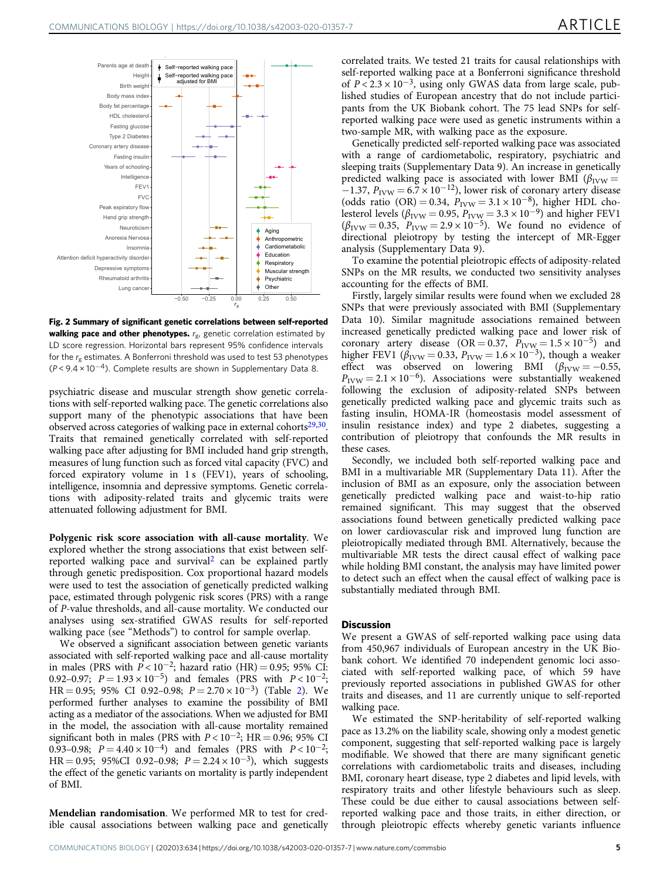<span id="page-4-0"></span>

Fig. 2 Summary of significant genetic correlations between self-reported walking pace and other phenotypes.  $r_{\text{g}}$ , genetic correlation estimated by LD score regression. Horizontal bars represent 95% confidence intervals for the  $r_g$  estimates. A Bonferroni threshold was used to test 53 phenotypes (P < 9.4 × 10<sup>−</sup>4). Complete results are shown in Supplementary Data 8.

psychiatric disease and muscular strength show genetic correlations with self-reported walking pace. The genetic correlations also support many of the phenotypic associations that have been observed across categories of walking pace in external cohorts $29,30$ . Traits that remained genetically correlated with self-reported walking pace after adjusting for BMI included hand grip strength, measures of lung function such as forced vital capacity (FVC) and forced expiratory volume in 1 s (FEV1), years of schooling, intelligence, insomnia and depressive symptoms. Genetic correlations with adiposity-related traits and glycemic traits were attenuated following adjustment for BMI.

Polygenic risk score association with all-cause mortality. We explored whether the strong associations that exist between self-reported walking pace and survival<sup>[2](#page-7-0)</sup> can be explained partly through genetic predisposition. Cox proportional hazard models were used to test the association of genetically predicted walking pace, estimated through polygenic risk scores (PRS) with a range of P-value thresholds, and all-cause mortality. We conducted our analyses using sex-stratified GWAS results for self-reported walking pace (see "Methods") to control for sample overlap.

We observed a significant association between genetic variants associated with self-reported walking pace and all-cause mortality in males (PRS with  $P < 10^{-2}$ ; hazard ratio (HR) = 0.95; 95% CI: 0.92–0.97;  $P = 1.93 \times 10^{-5}$  and females (PRS with  $P < 10^{-2}$ ;  $HR = 0.95$ ; 95% CI 0.9[2](#page-5-0)–0.98;  $P = 2.70 \times 10^{-3}$  (Table 2). We performed further analyses to examine the possibility of BMI acting as a mediator of the associations. When we adjusted for BMI in the model, the association with all-cause mortality remained significant both in males (PRS with  $P < 10^{-2}$ ; HR = 0.96; 95% CI 0.93–0.98;  $P = 4.40 \times 10^{-4}$  and females (PRS with  $P < 10^{-2}$ ; HR = 0.95; 95%CI 0.92–0.98;  $P = 2.24 \times 10^{-3}$ ), which suggests the effect of the genetic variants on mortality is partly independent of BMI.

Mendelian randomisation. We performed MR to test for credible causal associations between walking pace and genetically correlated traits. We tested 21 traits for causal relationships with self-reported walking pace at a Bonferroni significance threshold of  $P < 2.3 \times 10^{-3}$ , using only GWAS data from large scale, published studies of European ancestry that do not include participants from the UK Biobank cohort. The 75 lead SNPs for selfreported walking pace were used as genetic instruments within a two-sample MR, with walking pace as the exposure.

Genetically predicted self-reported walking pace was associated with a range of cardiometabolic, respiratory, psychiatric and sleeping traits (Supplementary Data 9). An increase in genetically predicted walking pace is associated with lower BMI ( $\beta_{\text{IVW}} =$  $-1.37$ ,  $P_{IVW} = 6.7 \times 10^{-12}$ ), lower risk of coronary artery disease (odds ratio (OR) = 0.34,  $P_{IVW}$  = 3.1 × 10<sup>-8</sup>), higher HDL cholesterol levels ( $\beta_{\rm IVW}$  = 0.95,  $P_{\rm IVW}$  = 3.3 × 10<sup>-9</sup>) and higher FEV1  $(\beta_{\text{IVW}} = 0.35, P_{\text{IVW}} = 2.9 \times 10^{-5})$ . We found no evidence of directional pleiotropy by testing the intercept of MR-Egger analysis (Supplementary Data 9).

To examine the potential pleiotropic effects of adiposity-related SNPs on the MR results, we conducted two sensitivity analyses accounting for the effects of BMI.

Firstly, largely similar results were found when we excluded 28 SNPs that were previously associated with BMI (Supplementary Data 10). Similar magnitude associations remained between increased genetically predicted walking pace and lower risk of coronary artery disease (OR = 0.37,  $\vec{P}_{IVW}$  = 1.5 × 10<sup>-5</sup>) and higher FEV1 ( $\beta_{\text{IVW}} = 0.33$ ,  $P_{\text{IVW}} = 1.6 \times 10^{-3}$ ), though a weaker effect was observed on lowering BMI ( $\beta_{\text{IVW}} = -0.55$ ,  $P_{\text{IVW}} = 2.1 \times 10^{-6}$ ). Associations were substantially weakened following the exclusion of adiposity-related SNPs between genetically predicted walking pace and glycemic traits such as fasting insulin, HOMA-IR (homeostasis model assessment of insulin resistance index) and type 2 diabetes, suggesting a contribution of pleiotropy that confounds the MR results in these cases.

Secondly, we included both self-reported walking pace and BMI in a multivariable MR (Supplementary Data 11). After the inclusion of BMI as an exposure, only the association between genetically predicted walking pace and waist-to-hip ratio remained significant. This may suggest that the observed associations found between genetically predicted walking pace on lower cardiovascular risk and improved lung function are pleiotropically mediated through BMI. Alternatively, because the multivariable MR tests the direct causal effect of walking pace while holding BMI constant, the analysis may have limited power to detect such an effect when the causal effect of walking pace is substantially mediated through BMI.

# **Discussion**

We present a GWAS of self-reported walking pace using data from 450,967 individuals of European ancestry in the UK Biobank cohort. We identified 70 independent genomic loci associated with self-reported walking pace, of which 59 have previously reported associations in published GWAS for other traits and diseases, and 11 are currently unique to self-reported walking pace.

We estimated the SNP-heritability of self-reported walking pace as 13.2% on the liability scale, showing only a modest genetic component, suggesting that self-reported walking pace is largely modifiable. We showed that there are many significant genetic correlations with cardiometabolic traits and diseases, including BMI, coronary heart disease, type 2 diabetes and lipid levels, with respiratory traits and other lifestyle behaviours such as sleep. These could be due either to causal associations between selfreported walking pace and those traits, in either direction, or through pleiotropic effects whereby genetic variants influence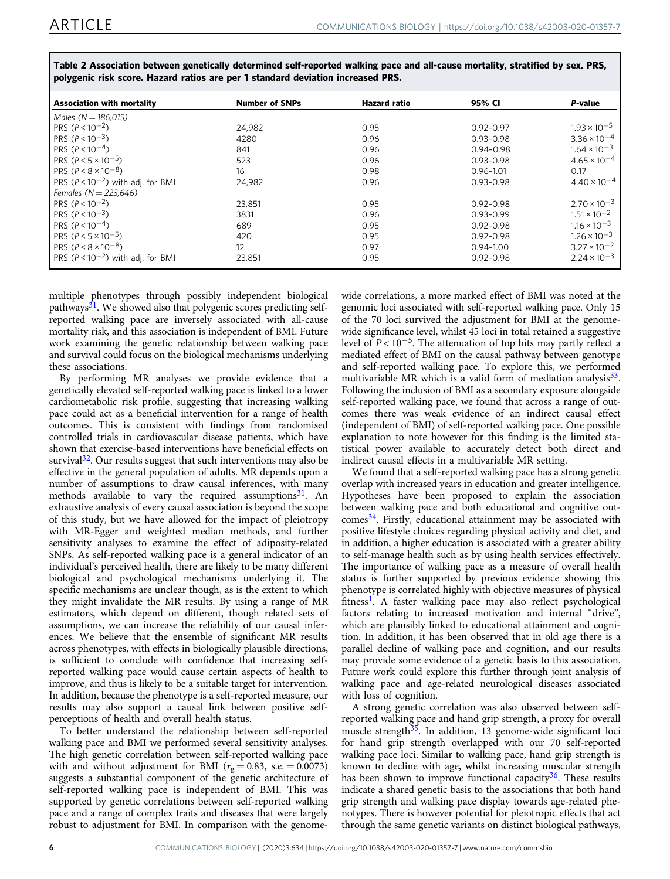| <b>Association with mortality</b>       | <b>Number of SNPs</b> | <b>Hazard ratio</b> | 95% CI        | P-value               |
|-----------------------------------------|-----------------------|---------------------|---------------|-----------------------|
| Males $(N = 186,015)$                   |                       |                     |               |                       |
| PRS ( $P < 10^{-2}$ )                   | 24,982                | 0.95                | $0.92 - 0.97$ | $1.93 \times 10^{-5}$ |
| PRS ( $P < 10^{-3}$ )                   | 4280                  | 0.96                | $0.93 - 0.98$ | $3.36 \times 10^{-4}$ |
| PRS ( $P < 10^{-4}$ )                   | 841                   | 0.96                | $0.94 - 0.98$ | $1.64 \times 10^{-3}$ |
| PRS ( $P < 5 \times 10^{-5}$ )          | 523                   | 0.96                | $0.93 - 0.98$ | $4.65 \times 10^{-4}$ |
| $PRS (P < 8 \times 10^{-8})$            | 16                    | 0.98                | $0.96 - 1.01$ | 0.17                  |
| PRS ( $P < 10^{-2}$ ) with adj. for BMI | 24,982                | 0.96                | $0.93 - 0.98$ | $4.40 \times 10^{-4}$ |
| Females $(N = 223.646)$                 |                       |                     |               |                       |
| PRS $(P < 10^{-2})$                     | 23.851                | 0.95                | $0.92 - 0.98$ | $2.70 \times 10^{-3}$ |
| PRS ( $P < 10^{-3}$ )                   | 3831                  | 0.96                | $0.93 - 0.99$ | $1.51 \times 10^{-2}$ |
| PRS $(P < 10^{-4})$                     | 689                   | 0.95                | $0.92 - 0.98$ | $1.16 \times 10^{-3}$ |
| PRS ( $P < 5 \times 10^{-5}$ )          | 420                   | 0.95                | $0.92 - 0.98$ | $1.26 \times 10^{-3}$ |
| PRS ( $P < 8 \times 10^{-8}$ )          | 12                    | 0.97                | $0.94 - 1.00$ | $3.27 \times 10^{-2}$ |
| PRS $(P < 10^{-2})$ with adj. for BMI   | 23,851                | 0.95                | $0.92 - 0.98$ | $2.24 \times 10^{-3}$ |

<span id="page-5-0"></span>Table 2 Association between genetically determined self-reported walking pace and all-cause mortality, stratified by sex. PRS, polygenic risk score. Hazard ratios are per 1 standard deviation increased PRS.

multiple phenotypes through possibly independent biological pathways<sup>[31](#page-8-0)</sup>. We showed also that polygenic scores predicting selfreported walking pace are inversely associated with all-cause mortality risk, and this association is independent of BMI. Future work examining the genetic relationship between walking pace and survival could focus on the biological mechanisms underlying these associations.

By performing MR analyses we provide evidence that a genetically elevated self-reported walking pace is linked to a lower cardiometabolic risk profile, suggesting that increasing walking pace could act as a beneficial intervention for a range of health outcomes. This is consistent with findings from randomised controlled trials in cardiovascular disease patients, which have shown that exercise-based interventions have beneficial effects on survival $32$ . Our results suggest that such interventions may also be effective in the general population of adults. MR depends upon a number of assumptions to draw causal inferences, with many methods available to vary the required assumptions<sup>[31](#page-8-0)</sup>. An exhaustive analysis of every causal association is beyond the scope of this study, but we have allowed for the impact of pleiotropy with MR-Egger and weighted median methods, and further sensitivity analyses to examine the effect of adiposity-related SNPs. As self-reported walking pace is a general indicator of an individual's perceived health, there are likely to be many different biological and psychological mechanisms underlying it. The specific mechanisms are unclear though, as is the extent to which they might invalidate the MR results. By using a range of MR estimators, which depend on different, though related sets of assumptions, we can increase the reliability of our causal inferences. We believe that the ensemble of significant MR results across phenotypes, with effects in biologically plausible directions, is sufficient to conclude with confidence that increasing selfreported walking pace would cause certain aspects of health to improve, and thus is likely to be a suitable target for intervention. In addition, because the phenotype is a self-reported measure, our results may also support a causal link between positive selfperceptions of health and overall health status.

To better understand the relationship between self-reported walking pace and BMI we performed several sensitivity analyses. The high genetic correlation between self-reported walking pace with and without adjustment for BMI ( $r<sub>g</sub> = 0.83$ , s.e. = 0.0073) suggests a substantial component of the genetic architecture of self-reported walking pace is independent of BMI. This was supported by genetic correlations between self-reported walking pace and a range of complex traits and diseases that were largely robust to adjustment for BMI. In comparison with the genome-

wide correlations, a more marked effect of BMI was noted at the genomic loci associated with self-reported walking pace. Only 15 of the 70 loci survived the adjustment for BMI at the genomewide significance level, whilst 45 loci in total retained a suggestive level of  $P < 10^{-5}$ . The attenuation of top hits may partly reflect a mediated effect of BMI on the causal pathway between genotype and self-reported walking pace. To explore this, we performed multivariable MR which is a valid form of mediation analysis $33$ . Following the inclusion of BMI as a secondary exposure alongside self-reported walking pace, we found that across a range of outcomes there was weak evidence of an indirect causal effect (independent of BMI) of self-reported walking pace. One possible explanation to note however for this finding is the limited statistical power available to accurately detect both direct and indirect causal effects in a multivariable MR setting.

We found that a self-reported walking pace has a strong genetic overlap with increased years in education and greater intelligence. Hypotheses have been proposed to explain the association between walking pace and both educational and cognitive outcomes<sup>34</sup>. Firstly, educational attainment may be associated with positive lifestyle choices regarding physical activity and diet, and in addition, a higher education is associated with a greater ability to self-manage health such as by using health services effectively. The importance of walking pace as a measure of overall health status is further supported by previous evidence showing this phenotype is correlated highly with objective measures of physical fitness[1](#page-7-0). A faster walking pace may also reflect psychological factors relating to increased motivation and internal "drive", which are plausibly linked to educational attainment and cognition. In addition, it has been observed that in old age there is a parallel decline of walking pace and cognition, and our results may provide some evidence of a genetic basis to this association. Future work could explore this further through joint analysis of walking pace and age-related neurological diseases associated with loss of cognition.

A strong genetic correlation was also observed between selfreported walking pace and hand grip strength, a proxy for overall muscle strength<sup>[35](#page-8-0)</sup>. In addition, 13 genome-wide significant loci for hand grip strength overlapped with our 70 self-reported walking pace loci. Similar to walking pace, hand grip strength is known to decline with age, whilst increasing muscular strength has been shown to improve functional capacity<sup>36</sup>. These results indicate a shared genetic basis to the associations that both hand grip strength and walking pace display towards age-related phenotypes. There is however potential for pleiotropic effects that act through the same genetic variants on distinct biological pathways,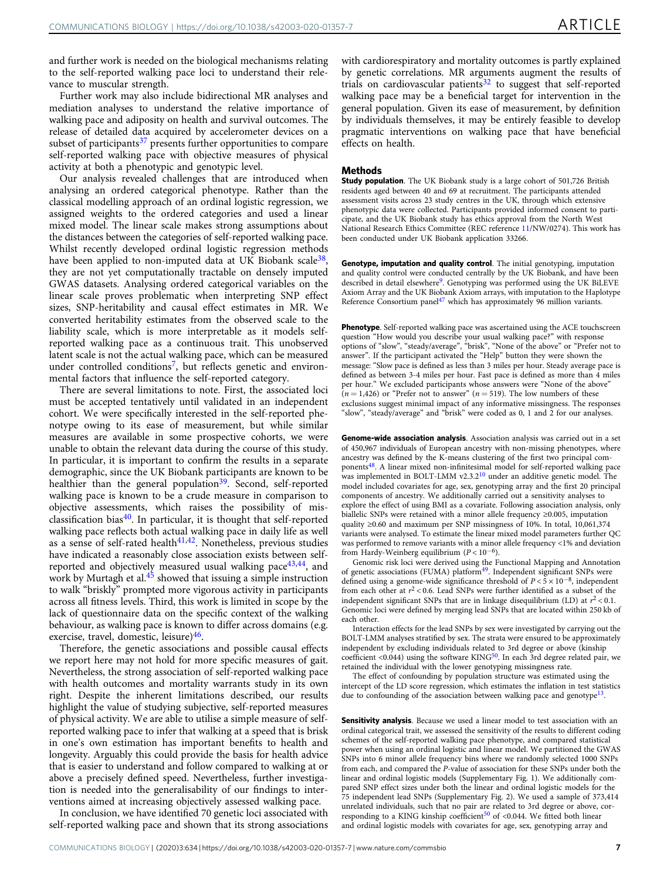and further work is needed on the biological mechanisms relating to the self-reported walking pace loci to understand their relevance to muscular strength.

Further work may also include bidirectional MR analyses and mediation analyses to understand the relative importance of walking pace and adiposity on health and survival outcomes. The release of detailed data acquired by accelerometer devices on a subset of participants $37$  presents further opportunities to compare self-reported walking pace with objective measures of physical activity at both a phenotypic and genotypic level.

Our analysis revealed challenges that are introduced when analysing an ordered categorical phenotype. Rather than the classical modelling approach of an ordinal logistic regression, we assigned weights to the ordered categories and used a linear mixed model. The linear scale makes strong assumptions about the distances between the categories of self-reported walking pace. Whilst recently developed ordinal logistic regression methods have been applied to non-imputed data at UK Biobank scale<sup>38</sup>, they are not yet computationally tractable on densely imputed GWAS datasets. Analysing ordered categorical variables on the linear scale proves problematic when interpreting SNP effect sizes, SNP-heritability and causal effect estimates in MR. We converted heritability estimates from the observed scale to the liability scale, which is more interpretable as it models selfreported walking pace as a continuous trait. This unobserved latent scale is not the actual walking pace, which can be measured under controlled conditions<sup>[7](#page-7-0)</sup>, but reflects genetic and environmental factors that influence the self-reported category.

There are several limitations to note. First, the associated loci must be accepted tentatively until validated in an independent cohort. We were specifically interested in the self-reported phenotype owing to its ease of measurement, but while similar measures are available in some prospective cohorts, we were unable to obtain the relevant data during the course of this study. In particular, it is important to confirm the results in a separate demographic, since the UK Biobank participants are known to be healthier than the general population<sup>[39](#page-8-0)</sup>. Second, self-reported walking pace is known to be a crude measure in comparison to objective assessments, which raises the possibility of misclassification bias $40$ . In particular, it is thought that self-reported walking pace reflects both actual walking pace in daily life as well as a sense of self-rated health $41,42$ . Nonetheless, previous studies have indicated a reasonably close association exists between selfreported and objectively measured usual walking pace  $43,44$ , and work by Murtagh et al. $45$  showed that issuing a simple instruction to walk "briskly" prompted more vigorous activity in participants across all fitness levels. Third, this work is limited in scope by the lack of questionnaire data on the specific context of the walking behaviour, as walking pace is known to differ across domains (e.g. exercise, travel, domestic, leisure $46$ .

Therefore, the genetic associations and possible causal effects we report here may not hold for more specific measures of gait. Nevertheless, the strong association of self-reported walking pace with health outcomes and mortality warrants study in its own right. Despite the inherent limitations described, our results highlight the value of studying subjective, self-reported measures of physical activity. We are able to utilise a simple measure of selfreported walking pace to infer that walking at a speed that is brisk in one's own estimation has important benefits to health and longevity. Arguably this could provide the basis for health advice that is easier to understand and follow compared to walking at or above a precisely defined speed. Nevertheless, further investigation is needed into the generalisability of our findings to interventions aimed at increasing objectively assessed walking pace.

In conclusion, we have identified 70 genetic loci associated with self-reported walking pace and shown that its strong associations with cardiorespiratory and mortality outcomes is partly explained by genetic correlations. MR arguments augment the results of trials on cardiovascular patients $32$  to suggest that self-reported walking pace may be a beneficial target for intervention in the general population. Given its ease of measurement, by definition by individuals themselves, it may be entirely feasible to develop pragmatic interventions on walking pace that have beneficial effects on health.

#### **Methods**

Study population. The UK Biobank study is a large cohort of 501,726 British residents aged between 40 and 69 at recruitment. The participants attended assessment visits across 23 study centres in the UK, through which extensive phenotypic data were collected. Participants provided informed consent to participate, and the UK Biobank study has ethics approval from the North West National Research Ethics Committee (REC reference [11/](#page-7-0)NW/0274). This work has been conducted under UK Biobank application 33266.

Genotype, imputation and quality control. The initial genotyping, imputation and quality control were conducted centrally by the UK Biobank, and have been described in detail elsewhere<sup>[9](#page-7-0)</sup>. Genotyping was performed using the UK BiLEVE Axiom Array and the UK Biobank Axiom arrays, with imputation to the Haplotype Reference Consortium panel<sup>[47](#page-8-0)</sup> which has approximately 96 million variants.

Phenotype. Self-reported walking pace was ascertained using the ACE touchscreen question "How would you describe your usual walking pace?" with response options of "slow", "steady/average", "brisk", "None of the above" or "Prefer not to answer". If the participant activated the "Help" button they were shown the message: "Slow pace is defined as less than 3 miles per hour. Steady average pace is defined as between 3-4 miles per hour. Fast pace is defined as more than 4 miles per hour." We excluded participants whose answers were "None of the above'  $(n = 1,426)$  or "Prefer not to answer"  $(n = 519)$ . The low numbers of these exclusions suggest minimal impact of any informative missingness. The responses "slow", "steady/average" and "brisk" were coded as 0, 1 and 2 for our analyses.

Genome-wide association analysis. Association analysis was carried out in a set of 450,967 individuals of European ancestry with non-missing phenotypes, where ancestry was defined by the K-means clustering of the first two principal com-ponents<sup>[48](#page-8-0)</sup>. A linear mixed non-infinitesimal model for self-reported walking pace was implemented in BOLT-LMM v2.3.2<sup>[10](#page-7-0)</sup> under an additive genetic model. The model included covariates for age, sex, genotyping array and the first 20 principal components of ancestry. We additionally carried out a sensitivity analyses to explore the effect of using BMI as a covariate. Following association analysis, only biallelic SNPs were retained with a minor allele frequency ≥0.005, imputation quality ≥0.60 and maximum per SNP missingness of 10%. In total, 10,061,374 variants were analysed. To estimate the linear mixed model parameters further QC was performed to remove variants with a minor allele frequency <1% and deviation from Hardy-Weinberg equilibrium  $(P < 10^{-6})$ .

Genomic risk loci were derived using the Functional Mapping and Annotation of genetic associations (FUMA) platform<sup>[49](#page-8-0)</sup>. Independent significant SNPs were defined using a genome-wide significance threshold of P < 5 × 10<sup>−</sup>8, independent from each other at  $r^2$  < 0.6. Lead SNPs were further identified as a subset of the independent significant SNPs that are in linkage disequilibrium (LD) at  $r^2$  < 0.1. Genomic loci were defined by merging lead SNPs that are located within 250 kb of each other.

Interaction effects for the lead SNPs by sex were investigated by carrying out the BOLT-LMM analyses stratified by sex. The strata were ensured to be approximately independent by excluding individuals related to 3rd degree or above (kinship coefficient <0.044) using the software KING<sup>50</sup>. In each 3rd degree related pair, we retained the individual with the lower genotyping missingness rate.

The effect of confounding by population structure was estimated using the intercept of the LD score regression, which estimates the inflation in test statistics due to confounding of the association between walking pace and genotype<sup>13</sup>.

Sensitivity analysis. Because we used a linear model to test association with an ordinal categorical trait, we assessed the sensitivity of the results to different coding schemes of the self-reported walking pace phenotype, and compared statistical power when using an ordinal logistic and linear model. We partitioned the GWAS SNPs into 6 minor allele frequency bins where we randomly selected 1000 SNPs from each, and compared the P-value of association for these SNPs under both the linear and ordinal logistic models (Supplementary Fig. 1). We additionally compared SNP effect sizes under both the linear and ordinal logistic models for the 75 independent lead SNPs (Supplementary Fig. 2). We used a sample of 373,414 unrelated individuals, such that no pair are related to 3rd degree or above, cor-responding to a KING kinship coefficient<sup>[50](#page-8-0)</sup> of <0.044. We fitted both linear and ordinal logistic models with covariates for age, sex, genotyping array and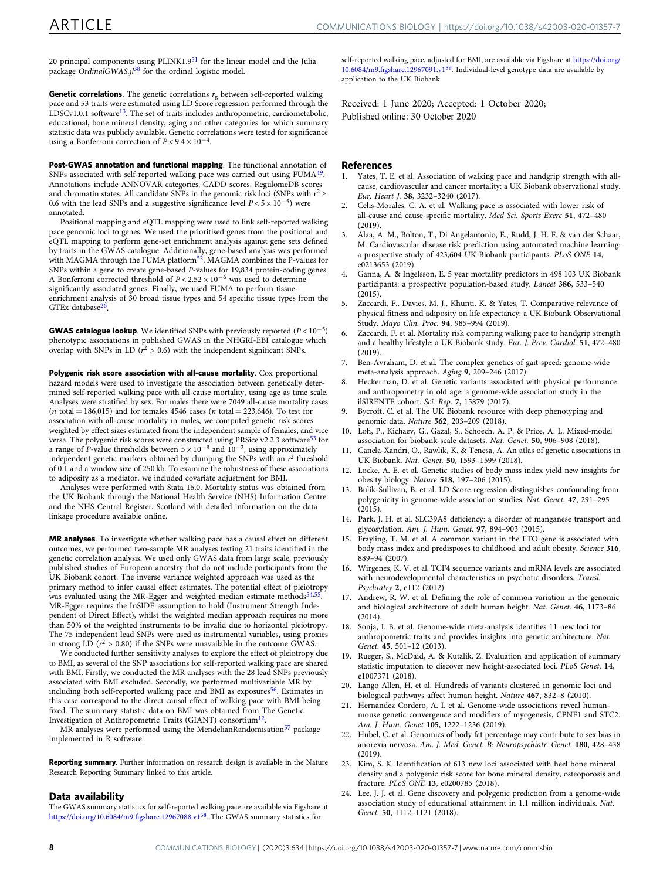<span id="page-7-0"></span>20 principal components using PLINK1.9[51](#page-8-0) for the linear model and the Julia package  $OrdinalGWAS.jl^{38}$  $OrdinalGWAS.jl^{38}$  $OrdinalGWAS.jl^{38}$  for the ordinal logistic model.

**Genetic correlations**. The genetic correlations  $r_g$  between self-reported walking pace and 53 traits were estimated using LD Score regression performed through the LDSCv1.0.1 software<sup>13</sup>. The set of traits includes anthropometric, cardiometabolic, educational, bone mineral density, aging and other categories for which summary statistic data was publicly available. Genetic correlations were tested for significance using a Bonferroni correction of  $P < 9.4 \times 10^{-4}$ .

Post-GWAS annotation and functional mapping. The functional annotation of SNPs associated with self-reported walking pace was carried out using FUMA<sup>[49](#page-8-0)</sup>. Annotations include ANNOVAR categories, CADD scores, RegulomeDB scores and chromatin states. All candidate SNPs in the genomic risk loci (SNPs with  $r^2 \ge$ 0.6 with the lead SNPs and a suggestive significance level  $P < 5 \times 10^{-5}$ ) were annotated.

Positional mapping and eQTL mapping were used to link self-reported walking pace genomic loci to genes. We used the prioritised genes from the positional and eQTL mapping to perform gene-set enrichment analysis against gene sets defined by traits in the GWAS catalogue. Additionally, gene-based analysis was performed<br>with MAGMA through the FUMA platform<sup>52</sup>. MAGMA combines the P-values for SNPs within a gene to create gene-based P-values for 19,834 protein-coding genes. A Bonferroni corrected threshold of  $P < 2.52 \times 10^{-6}$  was used to determine significantly associated genes. Finally, we used FUMA to perform tissueenrichment analysis of 30 broad tissue types and 54 specific tissue types from the GTEx database<sup>26</sup>.

**GWAS catalogue lookup**. We identified SNPs with previously reported ( $P < 10^{-5}$ ) phenotypic associations in published GWAS in the NHGRI-EBI catalogue which overlap with SNPs in LD ( $\hat{r}^2 > 0.6$ ) with the independent significant SNPs.

Polygenic risk score association with all-cause mortality. Cox proportional hazard models were used to investigate the association between genetically determined self-reported walking pace with all-cause mortality, using age as time scale. Analyses were stratified by sex. For males there were 7049 all-cause mortality cases (*n* total = 186,015) and for females 4546 cases (*n* total = 223,646). To test for association with all-cause mortality in males, we computed genetic risk scores weighted by effect sizes estimated from the independent sample of females, and vice versa. The polygenic risk scores were constructed using PRSice v2.2.3 software<sup>53</sup> for a range of *P*-value thresholds between  $5 \times 10^{-8}$  and  $10^{-2}$ , using approximately independent genetic markers obtained by clumping the SNPs with an  $r^2$  threshold of 0.1 and a window size of 250 kb. To examine the robustness of these associations to adiposity as a mediator, we included covariate adjustment for BMI.

Analyses were performed with Stata 16.0. Mortality status was obtained from the UK Biobank through the National Health Service (NHS) Information Centre and the NHS Central Register, Scotland with detailed information on the data linkage procedure available online.

MR analyses. To investigate whether walking pace has a causal effect on different outcomes, we performed two-sample MR analyses testing 21 traits identified in the genetic correlation analysis. We used only GWAS data from large scale, previously published studies of European ancestry that do not include participants from the UK Biobank cohort. The inverse variance weighted approach was used as the primary method to infer causal effect estimates. The potential effect of pleiotropy was evaluated using the MR-Egger and weighted median estimate methods<sup>54,55</sup> MR-Egger requires the InSIDE assumption to hold (Instrument Strength Independent of Direct Effect), whilst the weighted median approach requires no more than 50% of the weighted instruments to be invalid due to horizontal pleiotropy. The 75 independent lead SNPs were used as instrumental variables, using proxies in strong LD ( $r^2 > 0.80$ ) if the SNPs were unavailable in the outcome GWAS.

We conducted further sensitivity analyses to explore the effect of pleiotropy due to BMI, as several of the SNP associations for self-reported walking pace are shared with BMI. Firstly, we conducted the MR analyses with the 28 lead SNPs previously associated with BMI excluded. Secondly, we performed multivariable MR by including both self-reported walking pace and BMI as exposures<sup>56</sup>. Estimates in this case correspond to the direct causal effect of walking pace with BMI being fixed. The summary statistic data on BMI was obtained from The Genetic Investigation of Anthropometric Traits (GIANT) consortium12.

MR analyses were performed using the MendelianRandomisation<sup>[57](#page-8-0)</sup> package implemented in R software.

Reporting summary. Further information on research design is available in the Nature Research Reporting Summary linked to this article.

#### Data availability

The GWAS summary statistics for self-reported walking pace are available via Figshare at [https://doi.org/10.6084/m9.](https://doi.org/10.6084/m9.figshare.12967088.v1)figshare.12967088.v1<sup>58</sup>. The GWAS summary statistics for

self-reported walking pace, adjusted for BMI, are available via Figshare at [https://doi.org/](https://doi.org/10.6084/m9.figshare.12967091.v1) 10.6084/m9.fi[gshare.12967091.v1](https://doi.org/10.6084/m9.figshare.12967091.v1)[59](#page-8-0). Individual-level genotype data are available by application to the UK Biobank.

Received: 1 June 2020; Accepted: 1 October 2020; Published online: 30 October 2020

#### References

- 1. Yates, T. E. et al. Association of walking pace and handgrip strength with allcause, cardiovascular and cancer mortality: a UK Biobank observational study. Eur. Heart J. 38, 3232–3240 (2017).
- 2. Celis-Morales, C. A. et al. Walking pace is associated with lower risk of all-cause and cause-specific mortality. Med Sci. Sports Exerc 51, 472–480 (2019).
- 3. Alaa, A. M., Bolton, T., Di Angelantonio, E., Rudd, J. H. F. & van der Schaar, M. Cardiovascular disease risk prediction using automated machine learning: a prospective study of 423,604 UK Biobank participants. PLoS ONE 14, e0213653 (2019).
- 4. Ganna, A. & Ingelsson, E. 5 year mortality predictors in 498 103 UK Biobank participants: a prospective population-based study. Lancet 386, 533–540 (2015).
- 5. Zaccardi, F., Davies, M. J., Khunti, K. & Yates, T. Comparative relevance of physical fitness and adiposity on life expectancy: a UK Biobank Observational Study. Mayo Clin. Proc. 94, 985–994 (2019).
- 6. Zaccardi, F. et al. Mortality risk comparing walking pace to handgrip strength and a healthy lifestyle: a UK Biobank study. Eur. J. Prev. Cardiol. 51, 472–480  $(2019)$
- 7. Ben-Avraham, D. et al. The complex genetics of gait speed: genome-wide meta-analysis approach. Aging 9, 209–246 (2017).
- 8. Heckerman, D. et al. Genetic variants associated with physical performance and anthropometry in old age: a genome-wide association study in the ilSIRENTE cohort. Sci. Rep. 7, 15879 (2017).
- 9. Bycroft, C. et al. The UK Biobank resource with deep phenotyping and genomic data. Nature 562, 203–209 (2018).
- 10. Loh, P., Kichaev, G., Gazal, S., Schoech, A. P. & Price, A. L. Mixed-model association for biobank-scale datasets. Nat. Genet. 50, 906–908 (2018).
- 11. Canela-Xandri, O., Rawlik, K. & Tenesa, A. An atlas of genetic associations in UK Biobank. Nat. Genet. 50, 1593–1599 (2018).
- 12. Locke, A. E. et al. Genetic studies of body mass index yield new insights for obesity biology. Nature 518, 197–206 (2015).
- 13. Bulik-Sullivan, B. et al. LD Score regression distinguishes confounding from polygenicity in genome-wide association studies. Nat. Genet. 47, 291–295 (2015).
- 14. Park, J. H. et al. SLC39A8 deficiency: a disorder of manganese transport and glycosylation. Am. J. Hum. Genet. 97, 894–903 (2015).
- 15. Frayling, T. M. et al. A common variant in the FTO gene is associated with body mass index and predisposes to childhood and adult obesity. Science 316, 889–94 (2007).
- 16. Wirgenes, K. V. et al. TCF4 sequence variants and mRNA levels are associated with neurodevelopmental characteristics in psychotic disorders. Transl. Psychiatry 2, e112 (2012).
- 17. Andrew, R. W. et al. Defining the role of common variation in the genomic and biological architecture of adult human height. Nat. Genet. 46, 1173–86 (2014).
- 18. Sonja, I. B. et al. Genome-wide meta-analysis identifies 11 new loci for anthropometric traits and provides insights into genetic architecture. Nat. Genet. 45, 501–12 (2013).
- 19. Rueger, S., McDaid, A. & Kutalik, Z. Evaluation and application of summary statistic imputation to discover new height-associated loci. PLoS Genet. 14, e1007371 (2018).
- 20. Lango Allen, H. et al. Hundreds of variants clustered in genomic loci and biological pathways affect human height. Nature 467, 832–8 (2010).
- 21. Hernandez Cordero, A. I. et al. Genome-wide associations reveal humanmouse genetic convergence and modifiers of myogenesis, CPNE1 and STC2. Am. J. Hum. Genet 105, 1222–1236 (2019).
- 22. Hübel, C. et al. Genomics of body fat percentage may contribute to sex bias in anorexia nervosa. Am. J. Med. Genet. B: Neuropsychiatr. Genet. 180, 428–438 (2019).
- 23. Kim, S. K. Identification of 613 new loci associated with heel bone mineral density and a polygenic risk score for bone mineral density, osteoporosis and fracture. PLoS ONE 13, e0200785 (2018).
- 24. Lee, J. J. et al. Gene discovery and polygenic prediction from a genome-wide association study of educational attainment in 1.1 million individuals. Nat. Genet. 50, 1112–1121 (2018).